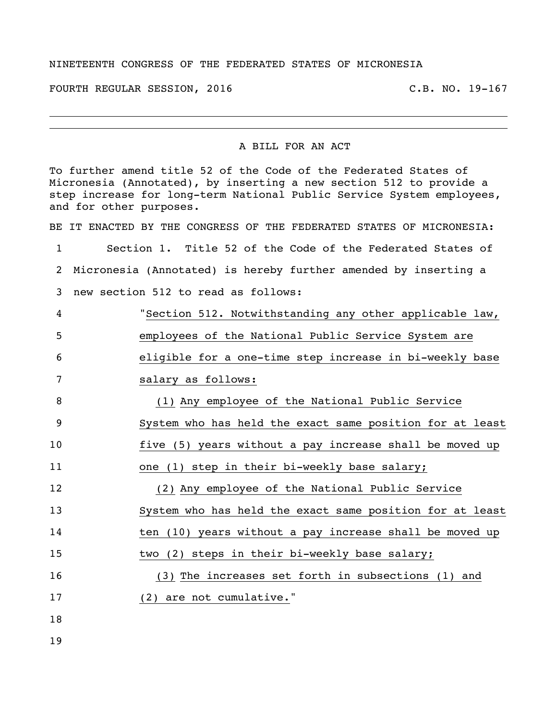## NINETEENTH CONGRESS OF THE FEDERATED STATES OF MICRONESIA

FOURTH REGULAR SESSION, 2016 C.B. NO. 19-167

## A BILL FOR AN ACT

|              | To further amend title 52 of the Code of the Federated States of<br>Micronesia (Annotated), by inserting a new section 512 to provide a<br>step increase for long-term National Public Service System employees,<br>and for other purposes. |
|--------------|---------------------------------------------------------------------------------------------------------------------------------------------------------------------------------------------------------------------------------------------|
|              | BE IT ENACTED BY THE CONGRESS OF THE FEDERATED STATES OF MICRONESIA:                                                                                                                                                                        |
| $\mathbf{1}$ | Section 1. Title 52 of the Code of the Federated States of                                                                                                                                                                                  |
| 2            | Micronesia (Annotated) is hereby further amended by inserting a                                                                                                                                                                             |
| 3            | new section 512 to read as follows:                                                                                                                                                                                                         |
| 4            | "Section 512. Notwithstanding any other applicable law,                                                                                                                                                                                     |
| 5            | employees of the National Public Service System are                                                                                                                                                                                         |
| 6            | eligible for a one-time step increase in bi-weekly base                                                                                                                                                                                     |
| 7            | salary as follows:                                                                                                                                                                                                                          |
| 8            | (1) Any employee of the National Public Service                                                                                                                                                                                             |
| 9            | System who has held the exact same position for at least                                                                                                                                                                                    |
| 10           | five (5) years without a pay increase shall be moved up                                                                                                                                                                                     |
| 11           | one (1) step in their bi-weekly base salary;                                                                                                                                                                                                |
| 12           | (2) Any employee of the National Public Service                                                                                                                                                                                             |
| 13           | System who has held the exact same position for at least                                                                                                                                                                                    |
| 14           | ten (10) years without a pay increase shall be moved up                                                                                                                                                                                     |
| 15           | two (2) steps in their bi-weekly base salary;                                                                                                                                                                                               |
| 16           | (3) The increases set forth in subsections (1)<br>and                                                                                                                                                                                       |
| 17           | (2) are not cumulative."                                                                                                                                                                                                                    |
| 18           |                                                                                                                                                                                                                                             |
| 19           |                                                                                                                                                                                                                                             |